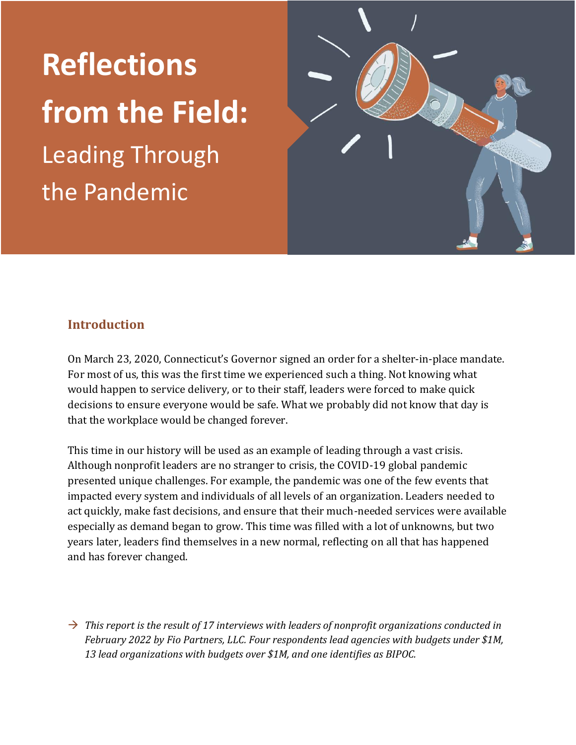## **Reflections from the Field:** Leading Through the Pandemic



#### **Introduction**

On March 23, 2020, Connecticut's Governor signed an order for a shelter-in-place mandate. For most of us, this was the first time we experienced such a thing. Not knowing what would happen to service delivery, or to their staff, leaders were forced to make quick decisions to ensure everyone would be safe. What we probably did not know that day is that the workplace would be changed forever.

This time in our history will be used as an example of leading through a vast crisis. Although nonprofit leaders are no stranger to crisis, the COVID-19 global pandemic presented unique challenges. For example, the pandemic was one of the few events that impacted every system and individuals of all levels of an organization. Leaders needed to act quickly, make fast decisions, and ensure that their much-needed services were available especially as demand began to grow. This time was filled with a lot of unknowns, but two years later, leaders find themselves in a new normal, reflecting on all that has happened and has forever changed.

 $\rightarrow$  *This report is the result of 17 interviews with leaders of nonprofit organizations conducted in February 2022 by Fio Partners, LLC. Four respondents lead agencies with budgets under \$1M, 13 lead organizations with budgets over \$1M, and one identifies as BIPOC.*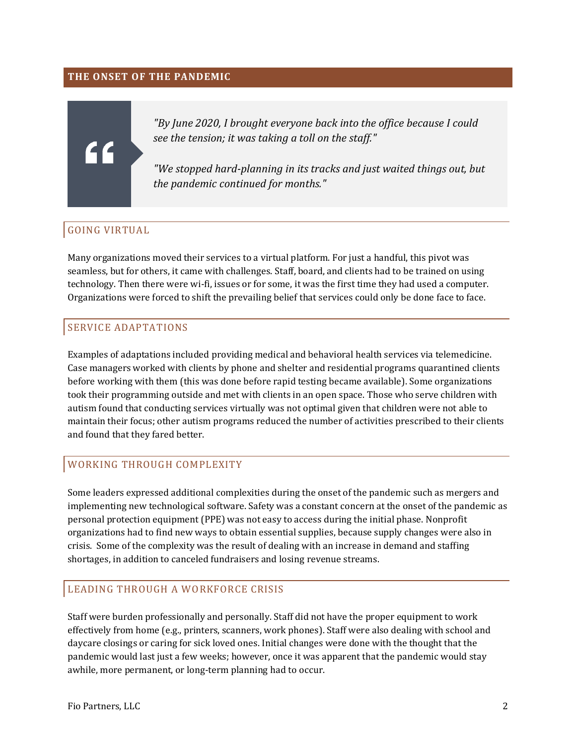#### **THE ONSET OF THE PANDEMIC**

# "

*"By June 2020, I brought everyone back into the office because I could see the tension; it was taking a toll on the staff."*

*"We stopped hard-planning in its tracks and just waited things out, but the pandemic continued for months."*

#### GOING VIRTUAL

Many organizations moved their services to a virtual platform. For just a handful, this pivot was seamless, but for others, it came with challenges. Staff, board, and clients had to be trained on using technology. Then there were wi-fi, issues or for some, it was the first time they had used a computer. Organizations were forced to shift the prevailing belief that services could only be done face to face.

#### SERVICE ADAPTATIONS

Examples of adaptations included providing medical and behavioral health services via telemedicine. Case managers worked with clients by phone and shelter and residential programs quarantined clients before working with them (this was done before rapid testing became available). Some organizations took their programming outside and met with clients in an open space. Those who serve children with autism found that conducting services virtually was not optimal given that children were not able to maintain their focus; other autism programs reduced the number of activities prescribed to their clients and found that they fared better.

#### WORKING THROUGH COMPLEXITY

Some leaders expressed additional complexities during the onset of the pandemic such as mergers and implementing new technological software. Safety was a constant concern at the onset of the pandemic as personal protection equipment (PPE) was not easy to access during the initial phase. Nonprofit organizations had to find new ways to obtain essential supplies, because supply changes were also in crisis. Some of the complexity was the result of dealing with an increase in demand and staffing shortages, in addition to canceled fundraisers and losing revenue streams.

#### LEADING THROUGH A WORKFORCE CRISIS

Staff were burden professionally and personally. Staff did not have the proper equipment to work effectively from home (e.g., printers, scanners, work phones). Staff were also dealing with school and daycare closings or caring for sick loved ones. Initial changes were done with the thought that the pandemic would last just a few weeks; however, once it was apparent that the pandemic would stay awhile, more permanent, or long-term planning had to occur.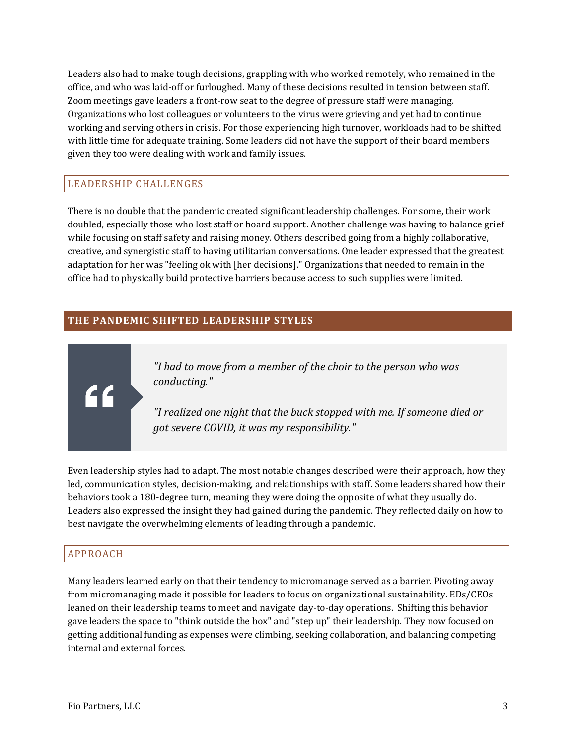Leaders also had to make tough decisions, grappling with who worked remotely, who remained in the office, and who was laid-off or furloughed. Many of these decisions resulted in tension between staff. Zoom meetings gave leaders a front-row seat to the degree of pressure staff were managing. Organizations who lost colleagues or volunteers to the virus were grieving and yet had to continue working and serving others in crisis. For those experiencing high turnover, workloads had to be shifted with little time for adequate training. Some leaders did not have the support of their board members given they too were dealing with work and family issues.

#### LEADERSHIP CHALLENGES

There is no double that the pandemic created significant leadership challenges. For some, their work doubled, especially those who lost staff or board support. Another challenge was having to balance grief while focusing on staff safety and raising money. Others described going from a highly collaborative, creative, and synergistic staff to having utilitarian conversations. One leader expressed that the greatest adaptation for her was "feeling ok with [her decisions]." Organizations that needed to remain in the office had to physically build protective barriers because access to such supplies were limited.

#### **THE PANDEMIC SHIFTED LEADERSHIP STYLES**

*"I had to move from a member of the choir to the person who was conducting."*

*"I realized one night that the buck stopped with me. If someone died or got severe COVID, it was my responsibility."*

Even leadership styles had to adapt. The most notable changes described were their approach, how they led, communication styles, decision-making, and relationships with staff. Some leaders shared how their behaviors took a 180-degree turn, meaning they were doing the opposite of what they usually do. Leaders also expressed the insight they had gained during the pandemic. They reflected daily on how to best navigate the overwhelming elements of leading through a pandemic.

#### APPROACH

"

Many leaders learned early on that their tendency to micromanage served as a barrier. Pivoting away from micromanaging made it possible for leaders to focus on organizational sustainability. EDs/CEOs leaned on their leadership teams to meet and navigate day-to-day operations. Shifting this behavior gave leaders the space to "think outside the box" and "step up" their leadership. They now focused on getting additional funding as expenses were climbing, seeking collaboration, and balancing competing internal and external forces.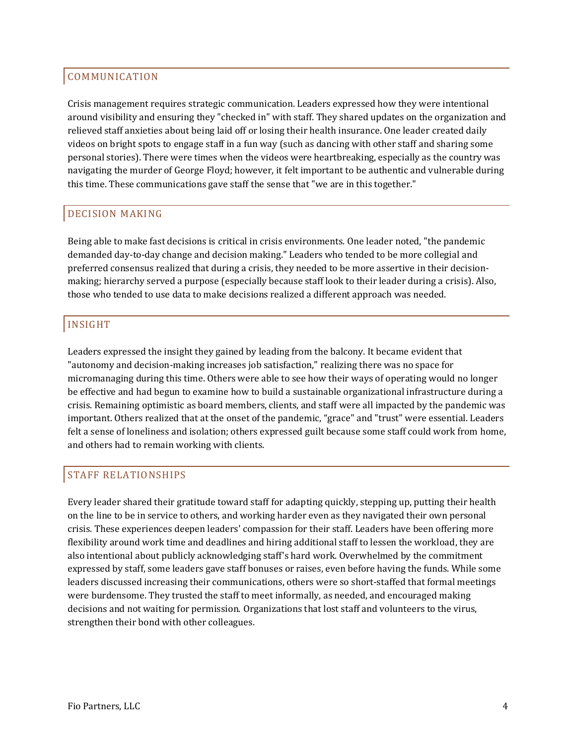#### COMMUNICATION

Crisis management requires strategic communication. Leaders expressed how they were intentional around visibility and ensuring they "checked in" with staff. They shared updates on the organization and relieved staff anxieties about being laid off or losing their health insurance. One leader created daily videos on bright spots to engage staff in a fun way (such as dancing with other staff and sharing some personal stories). There were times when the videos were heartbreaking, especially as the country was navigating the murder of George Floyd; however, it felt important to be authentic and vulnerable during this time. These communications gave staff the sense that "we are in this together."

#### DECISION MAKING

Being able to make fast decisions is critical in crisis environments. One leader noted, "the pandemic demanded day-to-day change and decision making." Leaders who tended to be more collegial and preferred consensus realized that during a crisis, they needed to be more assertive in their decisionmaking; hierarchy served a purpose (especially because staff look to their leader during a crisis). Also, those who tended to use data to make decisions realized a different approach was needed.

#### INSIGHT

Leaders expressed the insight they gained by leading from the balcony. It became evident that "autonomy and decision-making increases job satisfaction," realizing there was no space for micromanaging during this time. Others were able to see how their ways of operating would no longer be effective and had begun to examine how to build a sustainable organizational infrastructure during a crisis. Remaining optimistic as board members, clients, and staff were all impacted by the pandemic was important. Others realized that at the onset of the pandemic, "grace" and "trust" were essential. Leaders felt a sense of loneliness and isolation; others expressed guilt because some staff could work from home, and others had to remain working with clients.

#### STAFF RELATIONSHIPS

Every leader shared their gratitude toward staff for adapting quickly, stepping up, putting their health on the line to be in service to others, and working harder even as they navigated their own personal crisis. These experiences deepen leaders' compassion for their staff. Leaders have been offering more flexibility around work time and deadlines and hiring additional staff to lessen the workload, they are also intentional about publicly acknowledging staff's hard work. Overwhelmed by the commitment expressed by staff, some leaders gave staff bonuses or raises, even before having the funds. While some leaders discussed increasing their communications, others were so short-staffed that formal meetings were burdensome. They trusted the staff to meet informally, as needed, and encouraged making decisions and not waiting for permission. Organizations that lost staff and volunteers to the virus, strengthen their bond with other colleagues.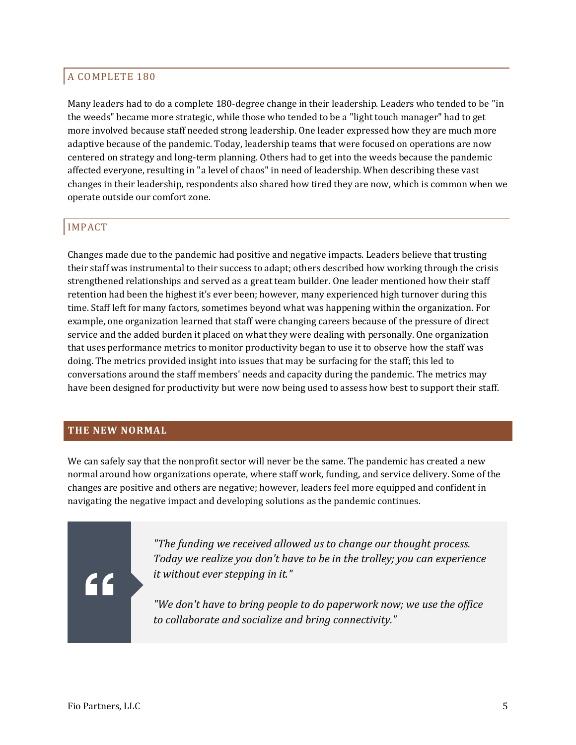#### A COMPLETE 180

Many leaders had to do a complete 180-degree change in their leadership. Leaders who tended to be "in the weeds" became more strategic, while those who tended to be a "light touch manager" had to get more involved because staff needed strong leadership. One leader expressed how they are much more adaptive because of the pandemic. Today, leadership teams that were focused on operations are now centered on strategy and long-term planning. Others had to get into the weeds because the pandemic affected everyone, resulting in "a level of chaos" in need of leadership. When describing these vast changes in their leadership, respondents also shared how tired they are now, which is common when we operate outside our comfort zone.

#### IMPACT

Changes made due to the pandemic had positive and negative impacts. Leaders believe that trusting their staff was instrumental to their success to adapt; others described how working through the crisis strengthened relationships and served as a great team builder. One leader mentioned how their staff retention had been the highest it's ever been; however, many experienced high turnover during this time. Staff left for many factors, sometimes beyond what was happening within the organization. For example, one organization learned that staff were changing careers because of the pressure of direct service and the added burden it placed on what they were dealing with personally. One organization that uses performance metrics to monitor productivity began to use it to observe how the staff was doing. The metrics provided insight into issues that may be surfacing for the staff; this led to conversations around the staff members' needs and capacity during the pandemic. The metrics may have been designed for productivity but were now being used to assess how best to support their staff.

#### **THE NEW NORMAL**

We can safely say that the nonprofit sector will never be the same. The pandemic has created a new normal around how organizations operate, where staff work, funding, and service delivery. Some of the changes are positive and others are negative; however, leaders feel more equipped and confident in navigating the negative impact and developing solutions as the pandemic continues.

### "

*"The funding we received allowed us to change our thought process. Today we realize you don't have to be in the trolley; you can experience it without ever stepping in it."*

*"We don't have to bring people to do paperwork now; we use the office to collaborate and socialize and bring connectivity."*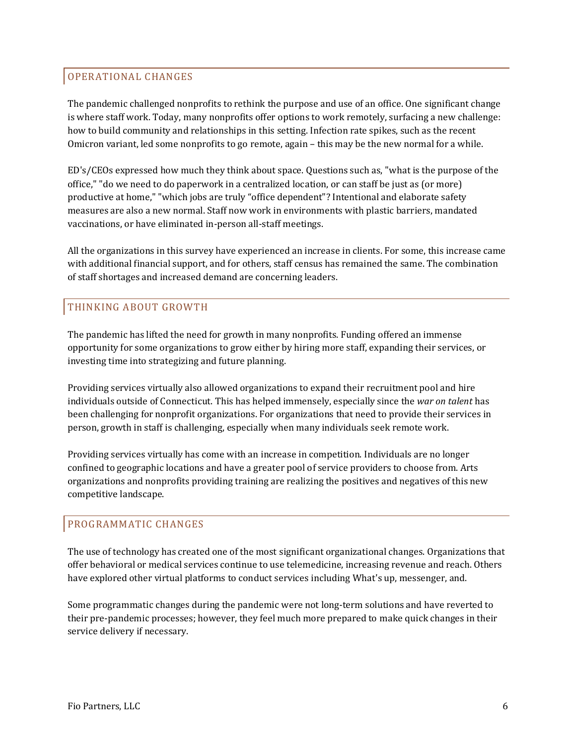#### OPERATIONAL CHANGES

The pandemic challenged nonprofits to rethink the purpose and use of an office. One significant change is where staff work. Today, many nonprofits offer options to work remotely, surfacing a new challenge: how to build community and relationships in this setting. Infection rate spikes, such as the recent Omicron variant, led some nonprofits to go remote, again – this may be the new normal for a while.

ED's/CEOs expressed how much they think about space. Questions such as, "what is the purpose of the office," "do we need to do paperwork in a centralized location, or can staff be just as (or more) productive at home," "which jobs are truly "office dependent"? Intentional and elaborate safety measures are also a new normal. Staff now work in environments with plastic barriers, mandated vaccinations, or have eliminated in-person all-staff meetings.

All the organizations in this survey have experienced an increase in clients. For some, this increase came with additional financial support, and for others, staff census has remained the same. The combination of staff shortages and increased demand are concerning leaders.

#### THINKING ABOUT GROWTH

The pandemic has lifted the need for growth in many nonprofits. Funding offered an immense opportunity for some organizations to grow either by hiring more staff, expanding their services, or investing time into strategizing and future planning.

Providing services virtually also allowed organizations to expand their recruitment pool and hire individuals outside of Connecticut. This has helped immensely, especially since the *war on talent* has been challenging for nonprofit organizations. For organizations that need to provide their services in person, growth in staff is challenging, especially when many individuals seek remote work.

Providing services virtually has come with an increase in competition. Individuals are no longer confined to geographic locations and have a greater pool of service providers to choose from. Arts organizations and nonprofits providing training are realizing the positives and negatives of this new competitive landscape.

#### PROGRAMMATIC CHANGES

The use of technology has created one of the most significant organizational changes. Organizations that offer behavioral or medical services continue to use telemedicine, increasing revenue and reach. Others have explored other virtual platforms to conduct services including What's up, messenger, and.

Some programmatic changes during the pandemic were not long-term solutions and have reverted to their pre-pandemic processes; however, they feel much more prepared to make quick changes in their service delivery if necessary.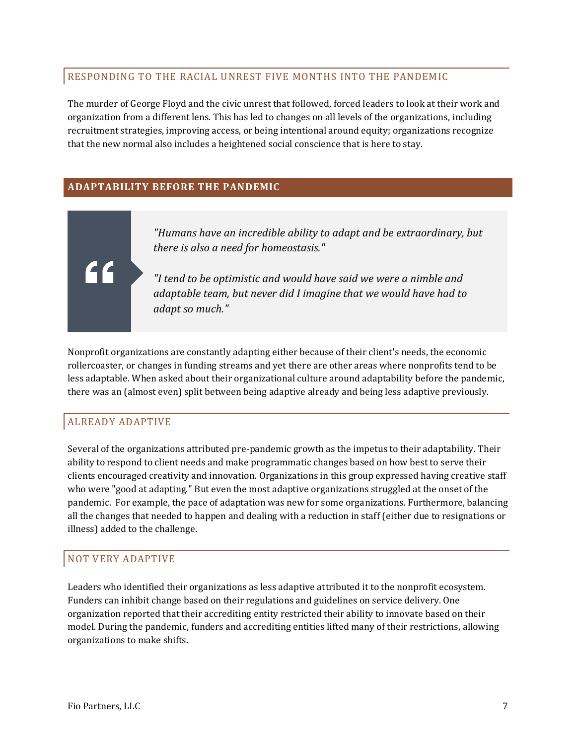#### RESPONDING TO THE RACIAL UNREST FIVE MONTHS INTO THE PANDEMIC

The murder of George Floyd and the civic unrest that followed, forced leaders to look at their work and organization from a different lens. This has led to changes on all levels of the organizations, including recruitment strategies, improving access, or being intentional around equity; organizations recognize that the new normal also includes a heightened social conscience that is here to stay.

#### **ADAPTABILITY BEFORE THE PANDEMIC**



*"Humans have an incredible ability to adapt and be extraordinary, but there is also a need for homeostasis."*

*"I tend to be optimistic and would have said we were a nimble and adaptable team, but never did I imagine that we would have had to adapt so much."*

Nonprofit organizations are constantly adapting either because of their client's needs, the economic rollercoaster, or changes in funding streams and yet there are other areas where nonprofits tend to be less adaptable. When asked about their organizational culture around adaptability before the pandemic, there was an (almost even) split between being adaptive already and being less adaptive previously.

#### ALREADY ADAPTIVE

Several of the organizations attributed pre-pandemic growth as the impetus to their adaptability. Their ability to respond to client needs and make programmatic changes based on how best to serve their clients encouraged creativity and innovation. Organizations in this group expressed having creative staff who were "good at adapting." But even the most adaptive organizations struggled at the onset of the pandemic. For example, the pace of adaptation was new for some organizations. Furthermore, balancing all the changes that needed to happen and dealing with a reduction in staff (either due to resignations or illness) added to the challenge.

#### NOT VERY ADAPTIVE

Leaders who identified their organizations as less adaptive attributed it to the nonprofit ecosystem. Funders can inhibit change based on their regulations and guidelines on service delivery. One organization reported that their accrediting entity restricted their ability to innovate based on their model. During the pandemic, funders and accrediting entities lifted many of their restrictions, allowing organizations to make shifts.